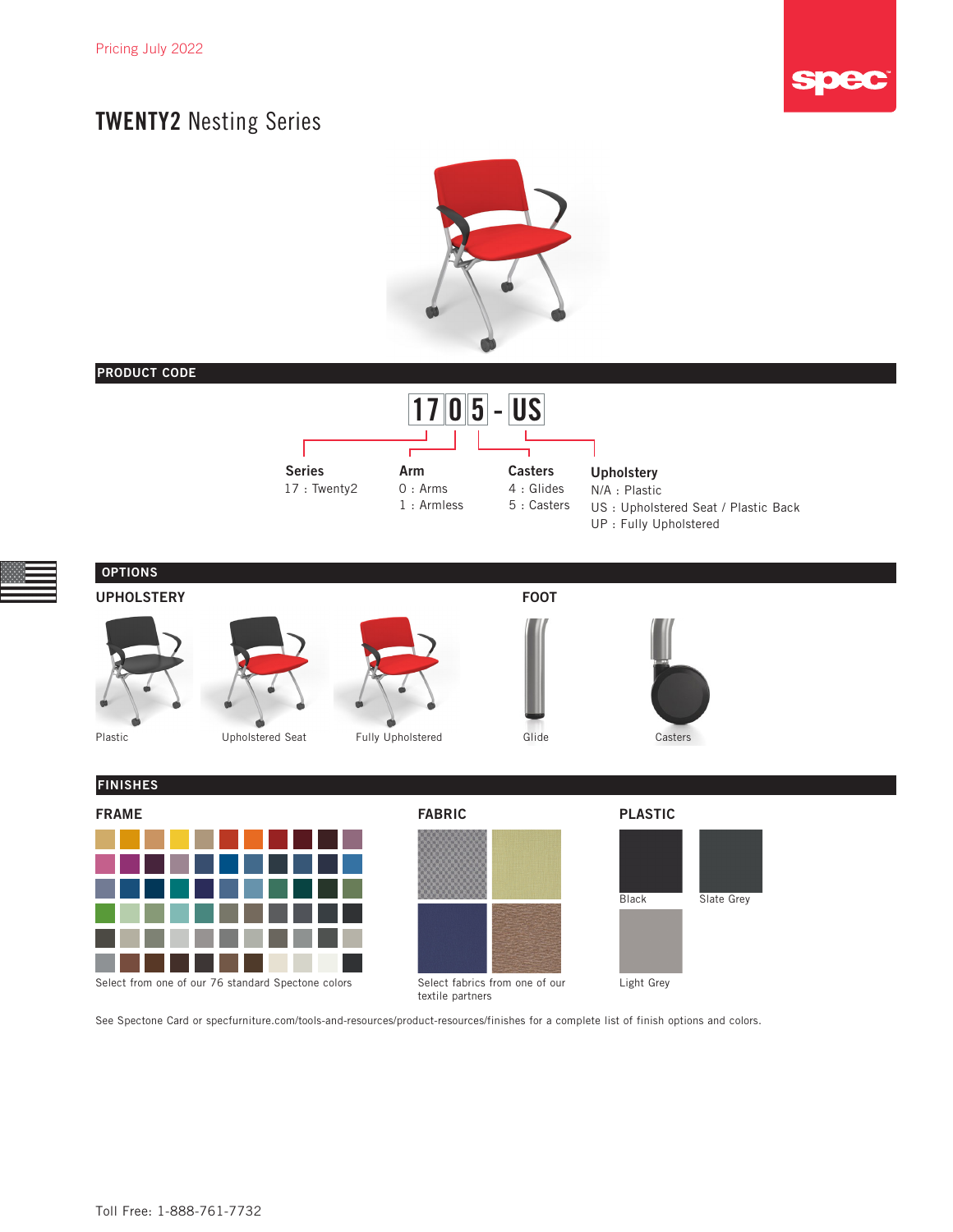



### PRODUCT CODE





### OPTIONS UPHOLSTERY FOOT









FABRIC





### FINISHES



Select from one of our 76 standard Spectone colors

Select fabrics from one of our textile partners

### PLASTIC



See Spectone Card or [specfurniture.com/tools-and-resources/product-resources/finishes](http://specfurniture.com/tools-and-resources/product-resources/finishes) for a complete list of finish options and colors.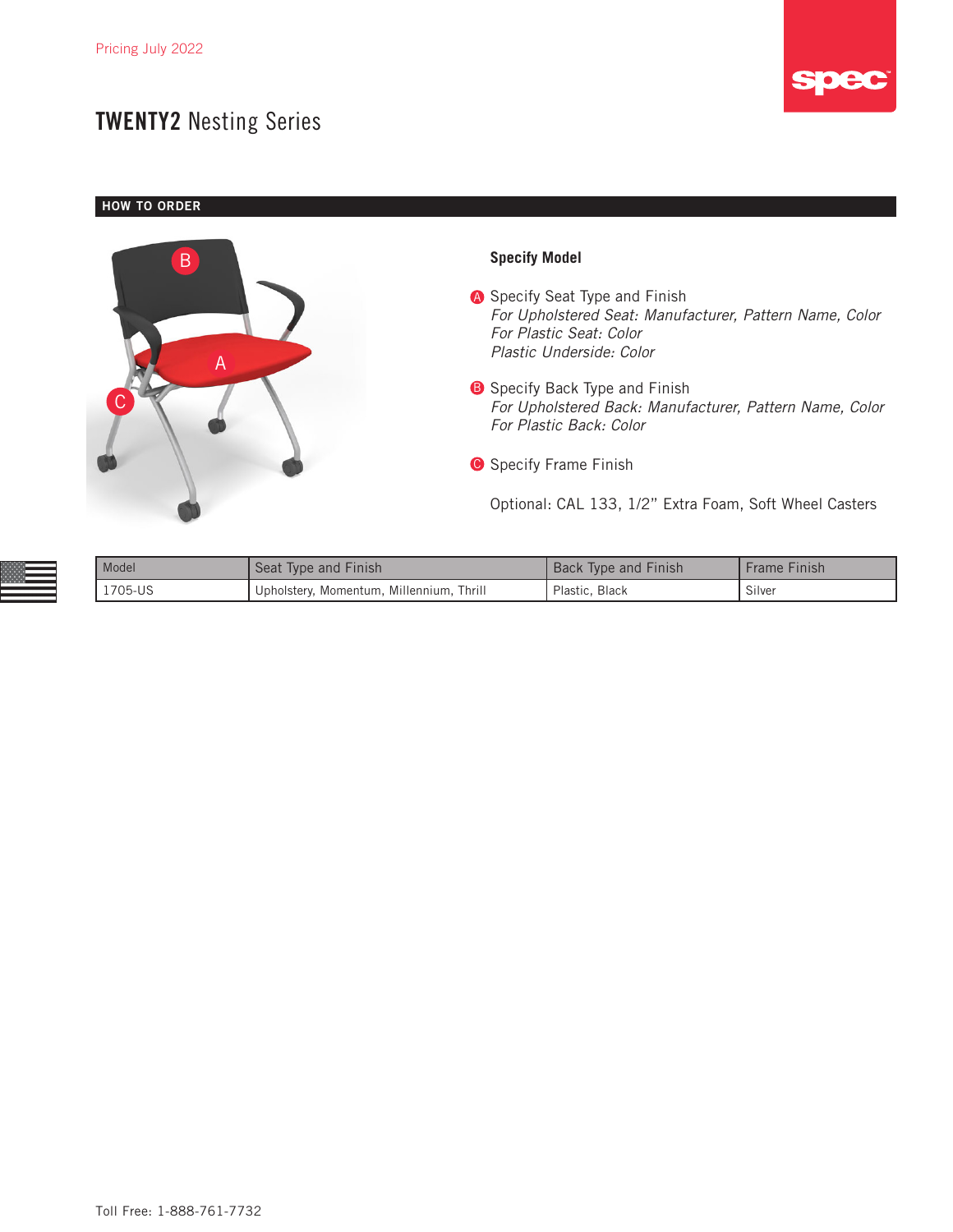

**HOW TO ORDER** 



| Model   | Seat Type and Finish                       | <b>Back Type and Finish</b> | Frame Finish |
|---------|--------------------------------------------|-----------------------------|--------------|
| 1705-US | I Upholstery, Momentum, Millennium, Thrill | Plastic, Black              | Silver       |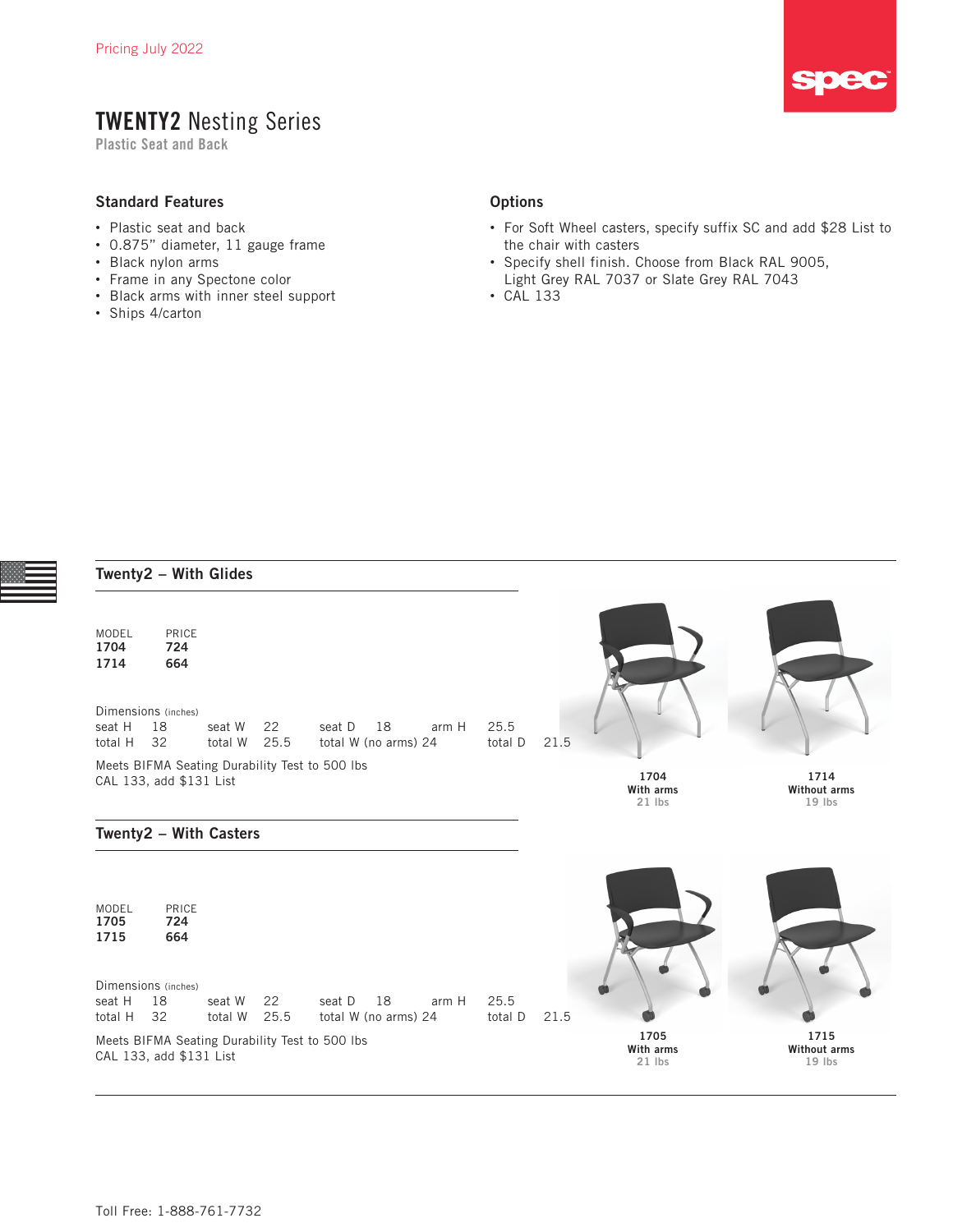Plastic Seat and Back

#### Standard Features

- Plastic seat and back
- 0.875" diameter, 11 gauge frame
- Black nylon arms
- Frame in any Spectone color
- Black arms with inner steel support
- Ships 4/carton

#### **Options**

- For Soft Wheel casters, specify suffix SC and add \$28 List to the chair with casters
- Specify shell finish. Choose from Black RAL 9005, Light Grey RAL 7037 or Slate Grey RAL 7043
- CAL 133

|                                            | Twenty2 - With Glides                                                             |                   |            |                                                          |                            |                          |      |                               |                                         |
|--------------------------------------------|-----------------------------------------------------------------------------------|-------------------|------------|----------------------------------------------------------|----------------------------|--------------------------|------|-------------------------------|-----------------------------------------|
| MODEL<br>1704<br>1714<br>seat H<br>total H | PRICE<br>724<br>664<br>Dimensions (inches)<br>18<br>32<br>CAL 133, add \$131 List | seat W<br>total W | 22<br>25.5 | seat D<br>Meets BIFMA Seating Durability Test to 500 lbs | 18<br>total W (no arms) 24 | 25.5<br>arm H<br>total D | 21.5 | 1704<br>With arms             | 1714<br>Without arms                    |
|                                            |                                                                                   |                   |            |                                                          |                            |                          |      | $21$ lbs                      | $19$ lbs                                |
|                                            | Twenty2 - With Casters                                                            |                   |            |                                                          |                            |                          |      |                               |                                         |
| MODEL<br>1705<br>1715                      | PRICE<br>724<br>664                                                               |                   |            |                                                          |                            |                          |      |                               |                                         |
| seat H<br>total H                          | Dimensions (inches)<br>18<br>32                                                   | seat W<br>total W | 22<br>25.5 | seat D                                                   | 18<br>total W (no arms) 24 | 25.5<br>arm H<br>total D | 21.5 |                               |                                         |
|                                            | CAL 133, add \$131 List                                                           |                   |            | Meets BIFMA Seating Durability Test to 500 lbs           |                            |                          |      | 1705<br>With arms<br>$21$ lbs | 1715<br><b>Without arms</b><br>$19$ lbs |

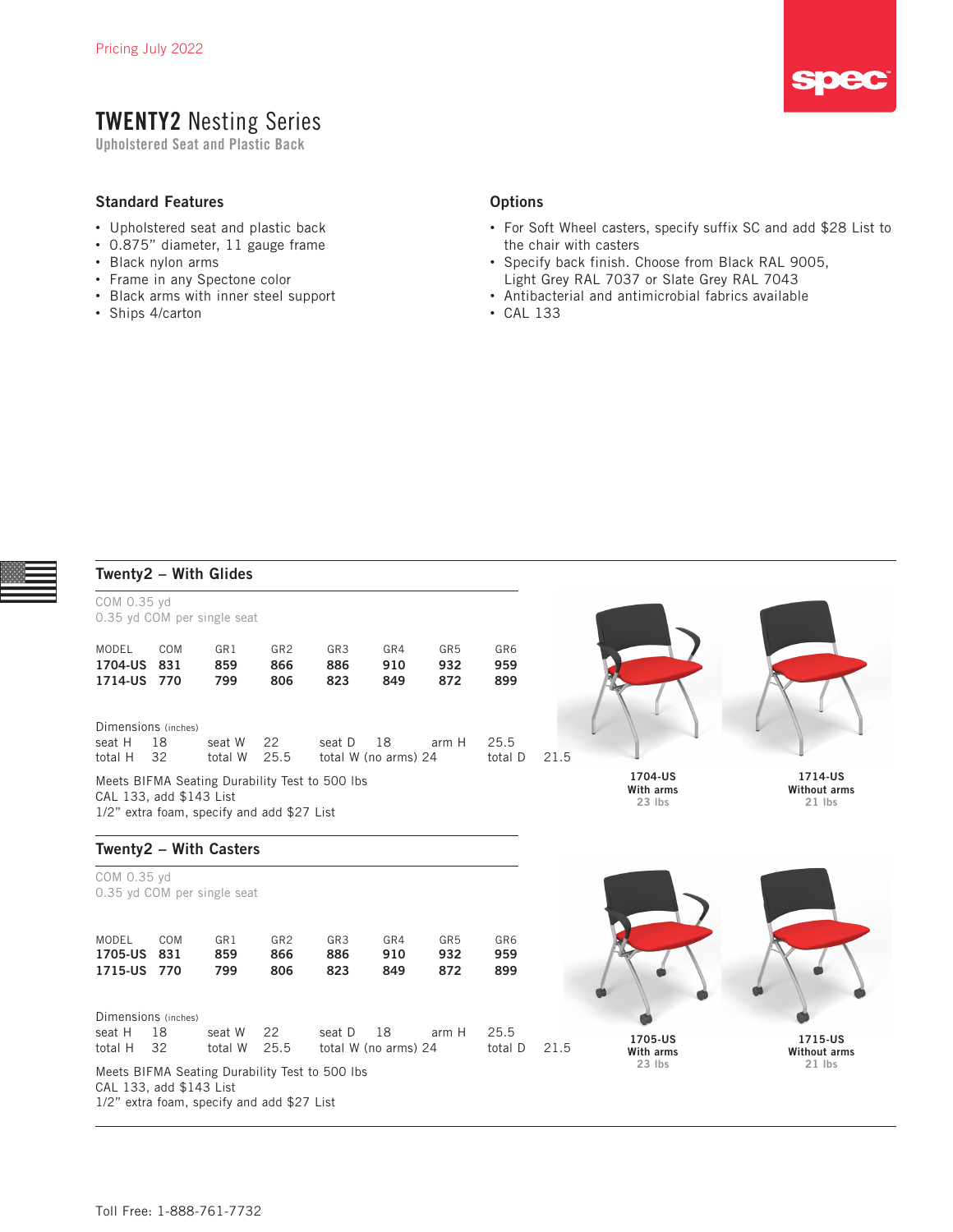Upholstered Seat and Plastic Back

#### Standard Features

- Upholstered seat and plastic back
- 0.875" diameter, 11 gauge frame
- Black nylon arms
- Frame in any Spectone color
- Black arms with inner steel support
- Ships 4/carton

#### **Options**

- For Soft Wheel casters, specify suffix SC and add \$28 List to the chair with casters
- Specify back finish. Choose from Black RAL 9005, Light Grey RAL 7037 or Slate Grey RAL 7043
- Antibacterial and antimicrobial fabrics available
- CAL 133

|                                          |            | Twenty2 - With Glides                      |                               |                                                |                            |                               |                                  |                                            |                                 |
|------------------------------------------|------------|--------------------------------------------|-------------------------------|------------------------------------------------|----------------------------|-------------------------------|----------------------------------|--------------------------------------------|---------------------------------|
| COM 0.35 yd                              |            |                                            |                               |                                                |                            |                               |                                  |                                            |                                 |
|                                          |            | 0.35 yd COM per single seat                |                               |                                                |                            |                               |                                  |                                            |                                 |
| MODEL<br>1704-US<br>1714-US 770          | COM<br>831 | GR1<br>859<br>799                          | GR <sub>2</sub><br>866<br>806 | GR3<br>886<br>823                              | GR4<br>910<br>849          | GR <sub>5</sub><br>932<br>872 | GR6<br>959<br>899                |                                            |                                 |
| Dimensions (inches)                      |            |                                            |                               |                                                |                            |                               |                                  |                                            |                                 |
| seat H<br>total H                        | 18<br>32   | seat W<br>total W                          | 22<br>25.5                    | seat D                                         | 18<br>total W (no arms) 24 | arm H                         | 25.5<br>total D                  | 21.5                                       |                                 |
| CAL 133, add \$143 List                  |            | 1/2" extra foam, specify and add \$27 List |                               | Meets BIFMA Seating Durability Test to 500 lbs |                            |                               | 1704-US<br>With arms<br>$23$ lbs | 1714-US<br><b>Without arms</b><br>$21$ lbs |                                 |
|                                          |            | Twenty2 - With Casters                     |                               |                                                |                            |                               |                                  |                                            |                                 |
| COM 0.35 yd                              |            | 0.35 yd COM per single seat                |                               |                                                |                            |                               |                                  |                                            |                                 |
| MODEL<br>1705-US<br>1715-US 770          | COM<br>831 | GR1<br>859<br>799                          | GR <sub>2</sub><br>866<br>806 | GR3<br>886<br>823                              | GR4<br>910<br>849          | GR <sub>5</sub><br>932<br>872 | GR6<br>959<br>899                |                                            |                                 |
| Dimensions (inches)<br>seat H<br>total H | 18<br>32   | seat W<br>total W                          | 22<br>25.5                    | seat D                                         | 18<br>total W (no arms) 24 | arm H                         | 25.5<br>total D                  | 1705-US<br>21.5                            | 1715-US                         |
| CAL 133, add \$143 List                  |            | 1/2" extra foam, specify and add \$27 List |                               | Meets BIFMA Seating Durability Test to 500 lbs |                            |                               |                                  | With arms<br>$23$ lbs                      | <b>Without arms</b><br>$21$ lbs |